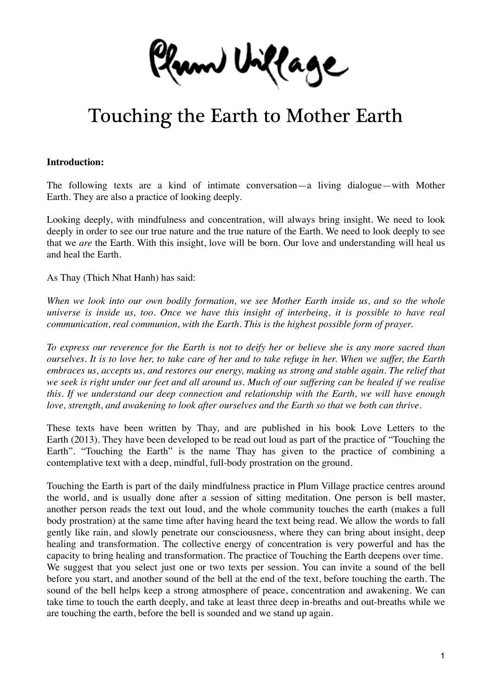llum Village

# Touching the Earth to Mother Earth

#### **Introduction:**

The following texts are a kind of intimate conversation—a living dialogue—with Mother Earth. They are also a practice of looking deeply.

Looking deeply, with mindfulness and concentration, will always bring insight. We need to look deeply in order to see our true nature and the true nature of the Earth. We need to look deeply to see that we *are* the Earth. With this insight, love will be born. Our love and understanding will heal us and heal the Earth.

As Thay (Thich Nhat Hanh) has said:

*When we look into our own bodily formation, we see Mother Earth inside us, and so the whole universe is inside us, too. Once we have this insight of interbeing, it is possible to have real communication, real communion, with the Earth. This is the highest possible form of prayer.*

*To express our reverence for the Earth is not to deify her or believe she is any more sacred than ourselves. It is to love her, to take care of her and to take refuge in her. When we suffer, the Earth embraces us, accepts us, and restores our energy, making us strong and stable again. The relief that we seek is right under our feet and all around us. Much of our suffering can be healed if we realise this. If we understand our deep connection and relationship with the Earth, we will have enough love, strength, and awakening to look after ourselves and the Earth so that we both can thrive.*

These texts have been written by Thay, and are published in his book Love Letters to the Earth (2013). They have been developed to be read out loud as part of the practice of "Touching the Earth". "Touching the Earth" is the name Thay has given to the practice of combining a contemplative text with a deep, mindful, full-body prostration on the ground.

Touching the Earth is part of the daily mindfulness practice in Plum Village practice centres around the world, and is usually done after a session of sitting meditation. One person is bell master, another person reads the text out loud, and the whole community touches the earth (makes a full body prostration) at the same time after having heard the text being read. We allow the words to fall gently like rain, and slowly penetrate our consciousness, where they can bring about insight, deep healing and transformation. The collective energy of concentration is very powerful and has the capacity to bring healing and transformation. The practice of Touching the Earth deepens over time. We suggest that you select just one or two texts per session. You can invite a sound of the bell before you start, and another sound of the bell at the end of the text, before touching the earth. The sound of the bell helps keep a strong atmosphere of peace, concentration and awakening. We can take time to touch the earth deeply, and take at least three deep in-breaths and out-breaths while we are touching the earth, before the bell is sounded and we stand up again.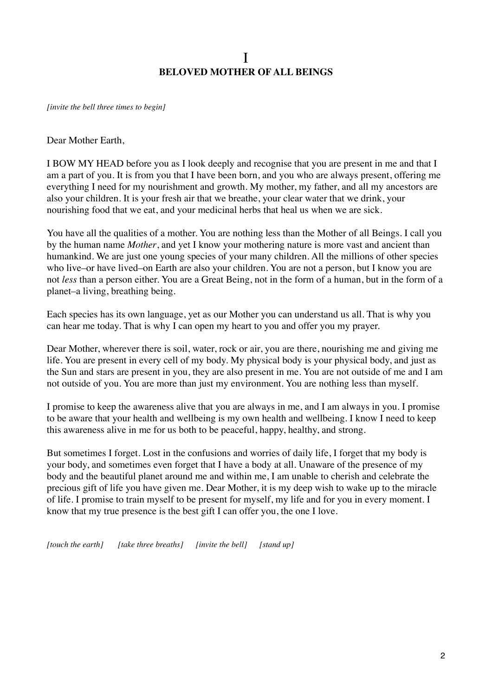# I **BELOVED MOTHER OF ALL BEINGS**

*[invite the bell three times to begin]*

Dear Mother Earth,

I BOW MY HEAD before you as I look deeply and recognise that you are present in me and that I am a part of you. It is from you that I have been born, and you who are always present, offering me everything I need for my nourishment and growth. My mother, my father, and all my ancestors are also your children. It is your fresh air that we breathe, your clear water that we drink, your nourishing food that we eat, and your medicinal herbs that heal us when we are sick.

You have all the qualities of a mother. You are nothing less than the Mother of all Beings. I call you by the human name *Mother*, and yet I know your mothering nature is more vast and ancient than humankind. We are just one young species of your many children. All the millions of other species who live–or have lived–on Earth are also your children. You are not a person, but I know you are not *less* than a person either. You are a Great Being, not in the form of a human, but in the form of a planet–a living, breathing being.

Each species has its own language, yet as our Mother you can understand us all. That is why you can hear me today. That is why I can open my heart to you and offer you my prayer.

Dear Mother, wherever there is soil, water, rock or air, you are there, nourishing me and giving me life. You are present in every cell of my body. My physical body is your physical body, and just as the Sun and stars are present in you, they are also present in me. You are not outside of me and I am not outside of you. You are more than just my environment. You are nothing less than myself.

I promise to keep the awareness alive that you are always in me, and I am always in you. I promise to be aware that your health and wellbeing is my own health and wellbeing. I know I need to keep this awareness alive in me for us both to be peaceful, happy, healthy, and strong.

But sometimes I forget. Lost in the confusions and worries of daily life, I forget that my body is your body, and sometimes even forget that I have a body at all. Unaware of the presence of my body and the beautiful planet around me and within me, I am unable to cherish and celebrate the precious gift of life you have given me. Dear Mother, it is my deep wish to wake up to the miracle of life. I promise to train myself to be present for myself, my life and for you in every moment. I know that my true presence is the best gift I can offer you, the one I love.

*[touch the earth] [take three breaths] [invite the bell] [stand up]*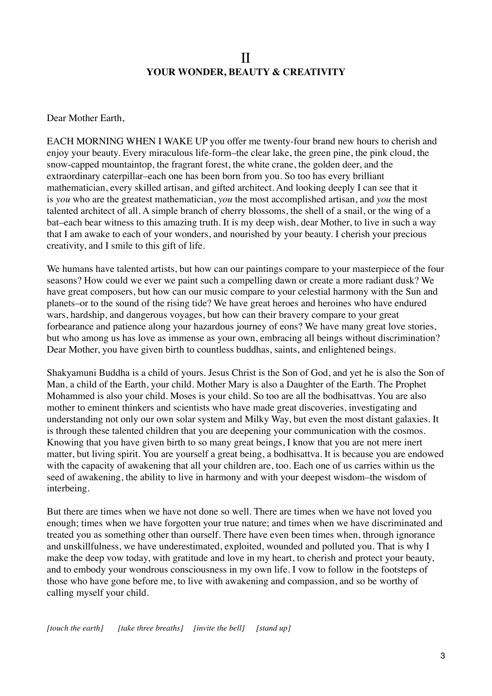### II **YOUR WONDER, BEAUTY & CREATIVITY**

Dear Mother Earth,

EACH MORNING WHEN I WAKE UP you offer me twenty-four brand new hours to cherish and enjoy your beauty. Every miraculous life-form–the clear lake, the green pine, the pink cloud, the snow-capped mountaintop, the fragrant forest, the white crane, the golden deer, and the extraordinary caterpillar–each one has been born from you. So too has every brilliant mathematician, every skilled artisan, and gifted architect. And looking deeply I can see that it is *you* who are the greatest mathematician, *you* the most accomplished artisan, and *you* the most talented architect of all. A simple branch of cherry blossoms, the shell of a snail, or the wing of a bat–each bear witness to this amazing truth. It is my deep wish, dear Mother, to live in such a way that I am awake to each of your wonders, and nourished by your beauty. I cherish your precious creativity, and I smile to this gift of life.

We humans have talented artists, but how can our paintings compare to your masterpiece of the four seasons? How could we ever we paint such a compelling dawn or create a more radiant dusk? We have great composers, but how can our music compare to your celestial harmony with the Sun and planets–or to the sound of the rising tide? We have great heroes and heroines who have endured wars, hardship, and dangerous voyages, but how can their bravery compare to your great forbearance and patience along your hazardous journey of eons? We have many great love stories, but who among us has love as immense as your own, embracing all beings without discrimination? Dear Mother, you have given birth to countless buddhas, saints, and enlightened beings.

Shakyamuni Buddha is a child of yours. Jesus Christ is the Son of God, and yet he is also the Son of Man, a child of the Earth, your child. Mother Mary is also a Daughter of the Earth. The Prophet Mohammed is also your child. Moses is your child. So too are all the bodhisattvas. You are also mother to eminent thinkers and scientists who have made great discoveries, investigating and understanding not only our own solar system and Milky Way, but even the most distant galaxies. It is through these talented children that you are deepening your communication with the cosmos. Knowing that you have given birth to so many great beings, I know that you are not mere inert matter, but living spirit. You are yourself a great being, a bodhisattva. It is because you are endowed with the capacity of awakening that all your children are, too. Each one of us carries within us the seed of awakening, the ability to live in harmony and with your deepest wisdom–the wisdom of interbeing.

But there are times when we have not done so well. There are times when we have not loved you enough; times when we have forgotten your true nature; and times when we have discriminated and treated you as something other than ourself. There have even been times when, through ignorance and unskillfulness, we have underestimated, exploited, wounded and polluted you. That is why I make the deep vow today, with gratitude and love in my heart, to cherish and protect your beauty, and to embody your wondrous consciousness in my own life. I vow to follow in the footsteps of those who have gone before me, to live with awakening and compassion, and so be worthy of calling myself your child.

*[touch the earth] [take three breaths] [invite the bell] [stand up]*